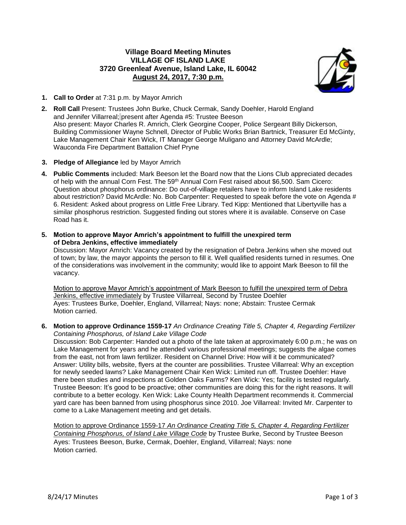## **Village Board Meeting Minutes VILLAGE OF ISLAND LAKE 3720 Greenleaf Avenue, Island Lake, IL 60042 August 24, 2017, 7:30 p.m.**



- **1. Call to Order** at 7:31 p.m. by Mayor Amrich
- **2. Roll Call** Present: Trustees John Burke, Chuck Cermak, Sandy Doehler, Harold England and Jennifer Villarreal; present after Agenda #5: Trustee Beeson Also present: Mayor Charles R. Amrich, Clerk Georgine Cooper, Police Sergeant Billy Dickerson, Building Commissioner Wayne Schnell, Director of Public Works Brian Bartnick, Treasurer Ed McGinty, Lake Management Chair Ken Wick, IT Manager George Muligano and Attorney David McArdle; Wauconda Fire Department Battalion Chief Pryne
- **3. Pledge of Allegiance** led by Mayor Amrich
- **4. Public Comments** included: Mark Beeson let the Board now that the Lions Club appreciated decades of help with the annual Corn Fest. The 59<sup>th</sup> Annual Corn Fest raised about \$6,500. Sam Cicero: Question about phosphorus ordinance: Do out-of-village retailers have to inform Island Lake residents about restriction? David McArdle: No. Bob Carpenter: Requested to speak before the vote on Agenda # 6. Resident: Asked about progress on Little Free Library. Ted Kipp: Mentioned that Libertyville has a similar phosphorus restriction. Suggested finding out stores where it is available. Conserve on Case Road has it.
- **5. Motion to approve Mayor Amrich's appointment to fulfill the unexpired term of Debra Jenkins, effective immediately**

Discussion: Mayor Amrich: Vacancy created by the resignation of Debra Jenkins when she moved out of town; by law, the mayor appoints the person to fill it. Well qualified residents turned in resumes. One of the considerations was involvement in the community; would like to appoint Mark Beeson to fill the vacancy.

Motion to approve Mayor Amrich's appointment of Mark Beeson to fulfill the unexpired term of Debra Jenkins, effective immediately by Trustee Villarreal, Second by Trustee Doehler Ayes: Trustees Burke, Doehler, England, Villarreal; Nays: none; Abstain: Trustee Cermak Motion carried.

**6. Motion to approve Ordinance 1559-17** *An Ordinance Creating Title 5, Chapter 4, Regarding Fertilizer Containing Phosphorus, of Island Lake Village Code*

Discussion: Bob Carpenter: Handed out a photo of the late taken at approximately 6:00 p.m.; he was on Lake Management for years and he attended various professional meetings; suggests the algae comes from the east, not from lawn fertilizer. Resident on Channel Drive: How will it be communicated? Answer: Utility bills, website, flyers at the counter are possibilities. Trustee Villarreal: Why an exception for newly seeded lawns? Lake Management Chair Ken Wick: Limited run off. Trustee Doehler: Have there been studies and inspections at Golden Oaks Farms? Ken Wick: Yes; facility is tested regularly. Trustee Beeson: It's good to be proactive; other communities are doing this for the right reasons. It will contribute to a better ecology. Ken Wick: Lake County Health Department recommends it. Commercial yard care has been banned from using phosphorus since 2010. Joe Villarreal: Invited Mr. Carpenter to come to a Lake Management meeting and get details.

Motion to approve Ordinance 1559-17 *An Ordinance Creating Title 5, Chapter 4, Regarding Fertilizer Containing Phosphorus, of Island Lake Village Code* by Trustee Burke, Second by Trustee Beeson Ayes: Trustees Beeson, Burke, Cermak, Doehler, England, Villarreal; Nays: none Motion carried.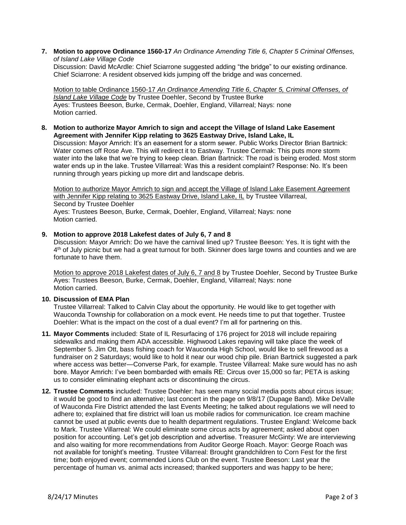**7. Motion to approve Ordinance 1560-17** *An Ordinance Amending Title 6, Chapter 5 Criminal Offenses, of Island Lake Village Code*

Discussion: David McArdle: Chief Sciarrone suggested adding "the bridge" to our existing ordinance. Chief Sciarrone: A resident observed kids jumping off the bridge and was concerned.

Motion to table Ordinance 1560-17 *An Ordinance Amending Title 6, Chapter 5, Criminal Offenses, of Island Lake Village Code* by Trustee Doehler, Second by Trustee Burke Ayes: Trustees Beeson, Burke, Cermak, Doehler, England, Villarreal; Nays: none Motion carried.

**8. Motion to authorize Mayor Amrich to sign and accept the Village of Island Lake Easement Agreement with Jennifer Kipp relating to 3625 Eastway Drive, Island Lake, IL**

Discussion: Mayor Amrich: It's an easement for a storm sewer. Public Works Director Brian Bartnick: Water comes off Rose Ave. This will redirect it to Eastway. Trustee Cermak: This puts more storm water into the lake that we're trying to keep clean. Brian Bartnick: The road is being eroded. Most storm water ends up in the lake. Trustee Villarreal: Was this a resident complaint? Response: No. It's been running through years picking up more dirt and landscape debris.

Motion to authorize Mayor Amrich to sign and accept the Village of Island Lake Easement Agreement with Jennifer Kipp relating to 3625 Eastway Drive, Island Lake, IL by Trustee Villarreal, Second by Trustee Doehler Ayes: Trustees Beeson, Burke, Cermak, Doehler, England, Villarreal; Nays: none Motion carried.

## **9. Motion to approve 2018 Lakefest dates of July 6, 7 and 8**

Discussion: Mayor Amrich: Do we have the carnival lined up? Trustee Beeson: Yes. It is tight with the 4<sup>th</sup> of July picnic but we had a great turnout for both. Skinner does large towns and counties and we are fortunate to have them.

Motion to approve 2018 Lakefest dates of July 6, 7 and 8 by Trustee Doehler, Second by Trustee Burke Ayes: Trustees Beeson, Burke, Cermak, Doehler, England, Villarreal; Nays: none Motion carried.

## **10. Discussion of EMA Plan**

Trustee Villarreal: Talked to Calvin Clay about the opportunity. He would like to get together with Wauconda Township for collaboration on a mock event. He needs time to put that together. Trustee Doehler: What is the impact on the cost of a dual event? I'm all for partnering on this.

- **11. Mayor Comments** included: State of IL Resurfacing of 176 project for 2018 will include repairing sidewalks and making them ADA accessible. Highwood Lakes repaving will take place the week of September 5. Jim Ott, bass fishing coach for Wauconda High School, would like to sell firewood as a fundraiser on 2 Saturdays; would like to hold it near our wood chip pile. Brian Bartnick suggested a park where access was better—Converse Park, for example. Trustee Villarreal: Make sure would has no ash bore. Mayor Amrich: I've been bombarded with emails RE: Circus over 15,000 so far; PETA is asking us to consider eliminating elephant acts or discontinuing the circus.
- **12. Trustee Comments** included: Trustee Doehler: has seen many social media posts about circus issue; it would be good to find an alternative; last concert in the page on 9/8/17 (Dupage Band). Mike DeValle of Wauconda Fire District attended the last Events Meeting; he talked about regulations we will need to adhere to; explained that fire district will loan us mobile radios for communication. Ice cream machine cannot be used at public events due to health department regulations. Trustee England: Welcome back to Mark. Trustee Villarreal: We could eliminate some circus acts by agreement; asked about open position for accounting. Let's get job description and advertise. Treasurer McGinty: We are interviewing and also waiting for more recommendations from Auditor George Roach. Mayor: George Roach was not available for tonight's meeting. Trustee Villarreal: Brought grandchildren to Corn Fest for the first time; both enjoyed event; commended Lions Club on the event. Trustee Beeson: Last year the percentage of human vs. animal acts increased; thanked supporters and was happy to be here;